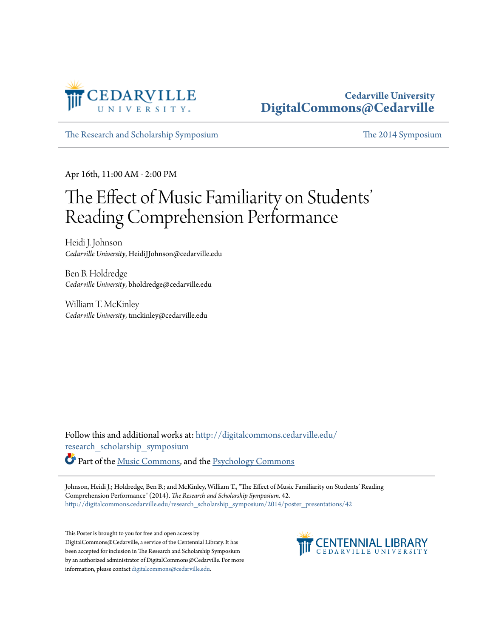

### **Cedarville University [DigitalCommons@Cedarville](http://digitalcommons.cedarville.edu?utm_source=digitalcommons.cedarville.edu%2Fresearch_scholarship_symposium%2F2014%2Fposter_presentations%2F42&utm_medium=PDF&utm_campaign=PDFCoverPages)**

[The Research and Scholarship Symposium](http://digitalcommons.cedarville.edu/research_scholarship_symposium?utm_source=digitalcommons.cedarville.edu%2Fresearch_scholarship_symposium%2F2014%2Fposter_presentations%2F42&utm_medium=PDF&utm_campaign=PDFCoverPages) [The 2014 Symposium](http://digitalcommons.cedarville.edu/research_scholarship_symposium/2014?utm_source=digitalcommons.cedarville.edu%2Fresearch_scholarship_symposium%2F2014%2Fposter_presentations%2F42&utm_medium=PDF&utm_campaign=PDFCoverPages)

Apr 16th, 11:00 AM - 2:00 PM

### The Effect of Music Familiarity on Students ' Reading Comprehension Performance

Heidi J. Johnson *Cedarville University*, HeidiJJohnson@cedarville.edu

Ben B. Holdredge *Cedarville University*, bholdredge@cedarville.edu

William T. McKinley *Cedarville University*, tmckinley@cedarville.edu

Follow this and additional works at: [http://digitalcommons.cedarville.edu/](http://digitalcommons.cedarville.edu/research_scholarship_symposium?utm_source=digitalcommons.cedarville.edu%2Fresearch_scholarship_symposium%2F2014%2Fposter_presentations%2F42&utm_medium=PDF&utm_campaign=PDFCoverPages) [research\\_scholarship\\_symposium](http://digitalcommons.cedarville.edu/research_scholarship_symposium?utm_source=digitalcommons.cedarville.edu%2Fresearch_scholarship_symposium%2F2014%2Fposter_presentations%2F42&utm_medium=PDF&utm_campaign=PDFCoverPages)

Part of the [Music Commons](http://network.bepress.com/hgg/discipline/518?utm_source=digitalcommons.cedarville.edu%2Fresearch_scholarship_symposium%2F2014%2Fposter_presentations%2F42&utm_medium=PDF&utm_campaign=PDFCoverPages), and the [Psychology Commons](http://network.bepress.com/hgg/discipline/404?utm_source=digitalcommons.cedarville.edu%2Fresearch_scholarship_symposium%2F2014%2Fposter_presentations%2F42&utm_medium=PDF&utm_campaign=PDFCoverPages)

Johnson, Heidi J.; Holdredge, Ben B.; and McKinley, William T., "The Effect of Music Familiarity on Students' Reading Comprehension Performance" (2014). *The Research and Scholarship Symposium*. 42. [http://digitalcommons.cedarville.edu/research\\_scholarship\\_symposium/2014/poster\\_presentations/42](http://digitalcommons.cedarville.edu/research_scholarship_symposium/2014/poster_presentations/42?utm_source=digitalcommons.cedarville.edu%2Fresearch_scholarship_symposium%2F2014%2Fposter_presentations%2F42&utm_medium=PDF&utm_campaign=PDFCoverPages)

This Poster is brought to you for free and open access by DigitalCommons@Cedarville, a service of the Centennial Library. It has been accepted for inclusion in The Research and Scholarship Symposium by an authorized administrator of DigitalCommons@Cedarville. For more information, please contact [digitalcommons@cedarville.edu.](mailto:digitalcommons@cedarville.edu)